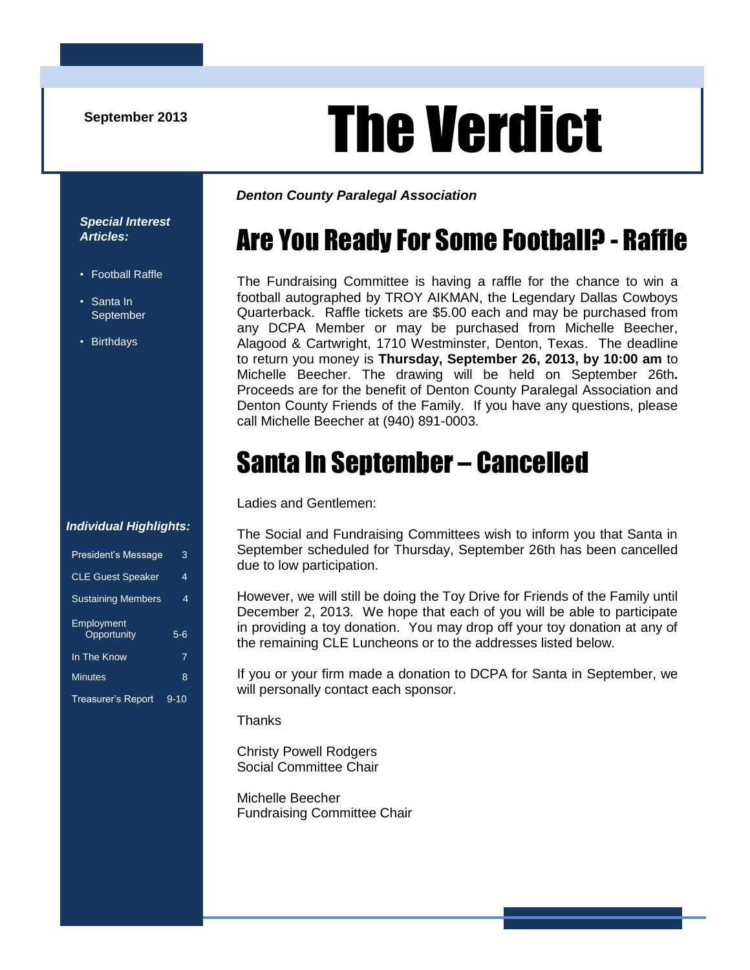# September 2013<br> **The Verdict**

*Special Interest Articles:*

- Football Raffle
- Santa In **September**
- Birthdays

*Denton County Paralegal Association*

# Are You Ready For Some Football? - Raffle

The Fundraising Committee is having a raffle for the chance to win a football autographed by TROY AIKMAN, the Legendary Dallas Cowboys Quarterback. Raffle tickets are \$5.00 each and may be purchased from any DCPA Member or may be purchased from Michelle Beecher, Alagood & Cartwright, 1710 Westminster, Denton, Texas. The deadline to return you money is **Thursday, September 26, 2013, by 10:00 am** to Michelle Beecher. The drawing will be held on September 26th**.**  Proceeds are for the benefit of Denton County Paralegal Association and Denton County Friends of the Family. If you have any questions, please call Michelle Beecher at (940) 891-0003.

# Santa In September – Cancelled

Ladies and Gentlemen:

#### The Social and Fundraising Committees wish to inform you that Santa in September scheduled for Thursday, September 26th has been cancelled due to low participation.

However, we will still be doing the Toy Drive for Friends of the Family until December 2, 2013. We hope that each of you will be able to participate in providing a toy donation. You may drop off your toy donation at any of the remaining CLE Luncheons or to the addresses listed below.

If you or your firm made a donation to DCPA for Santa in September, we will personally contact each sponsor.

**Thanks** 

Christy Powell Rodgers Social Committee Chair

Michelle Beecher Fundraising Committee Chair

#### *Individual Highlights:*

| <b>President's Message</b> | 3        |
|----------------------------|----------|
| <b>CLE Guest Speaker</b>   | 4        |
| <b>Sustaining Members</b>  | 4        |
| Employment<br>Opportunity  | $5 - 6$  |
| In The Know                | 7        |
| <b>Minutes</b>             | 8        |
| <b>Treasurer's Report</b>  | $9 - 10$ |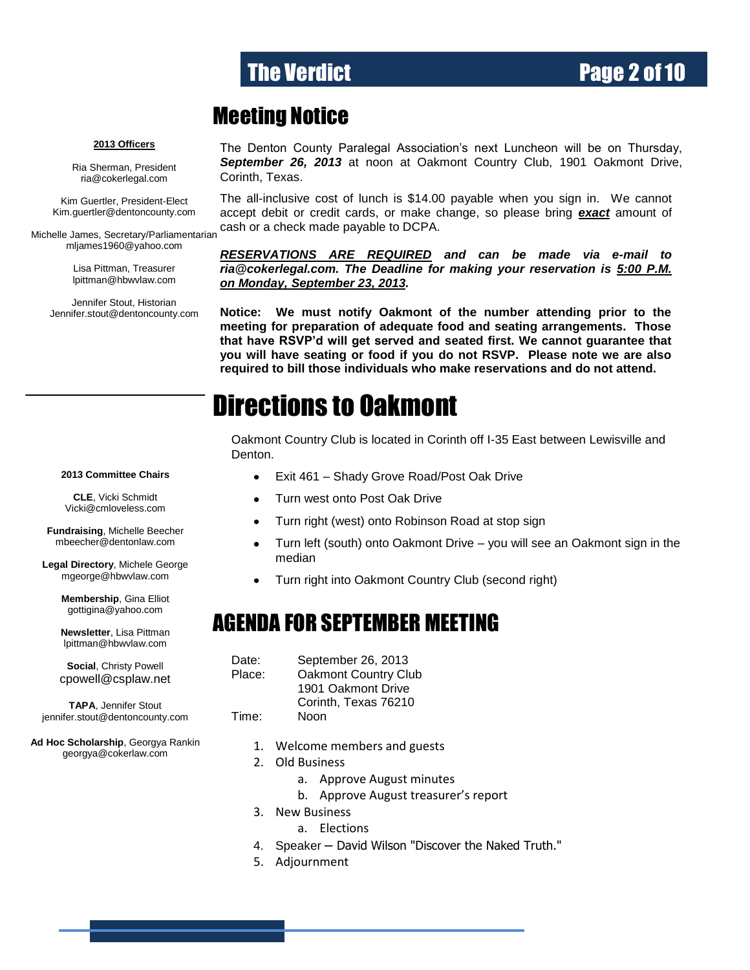### The Verdict **Page 2 of 10**

### Meeting Notice

#### **2013 Officers**

Ria Sherman, President [ria@cokerlegal.com](mailto:ria@cokerlegal.com)

Kim Guertler, President-Elect [Kim.guertler@dentoncounty.com](mailto:Kim.guertler@dentoncounty.com)

Michelle James, Secretary/Parliamentarian [mljames1960@yahoo.com](mailto:mljames1960@yahoo.com)

> Lisa Pittman, Treasurer [lpittman@hbwvlaw.com](mailto:lpittman@hbwvlaw.com)

Jennifer Stout, Historian Jennifer.stout@dentoncounty.com The Denton County Paralegal Association's next Luncheon will be on Thursday, *September 26, 2013* at noon at Oakmont Country Club, 1901 Oakmont Drive, Corinth, Texas.

The all-inclusive cost of lunch is \$14.00 payable when you sign in. We cannot accept debit or credit cards, or make change, so please bring *exact* amount of cash or a check made payable to DCPA.

*RESERVATIONS ARE REQUIRED and can be made via e-mail to ria@cokerlegal.com. The Deadline for making your reservation is 5:00 P.M. on Monday, September 23, 2013.*

**Notice: We must notify Oakmont of the number attending prior to the meeting for preparation of adequate food and seating arrangements. Those that have RSVP'd will get served and seated first. We cannot guarantee that you will have seating or food if you do not RSVP. Please note we are also required to bill those individuals who make reservations and do not attend.**

### Directions to Oakmont

Oakmont Country Club is located in Corinth off I-35 East between Lewisville and Denton.

- Exit 461 Shady Grove Road/Post Oak Drive  $\bullet$
- Turn west onto Post Oak Drive  $\bullet$
- $\bullet$ Turn right (west) onto Robinson Road at stop sign
- $\bullet$ Turn left (south) onto Oakmont Drive – you will see an Oakmont sign in the median
- Turn right into Oakmont Country Club (second right)

### AGENDA FOR SEPTEMBER MEETING

Date: September 26, 2013 Place: Oakmont Country Club 1901 Oakmont Drive Corinth, Texas 76210 Time: Noon

- 1. Welcome members and guests
- 2. Old Business
	- a. Approve August minutes
	- b. Approve August treasurer's report
- 3. New Business
	- a. Elections
- 4. Speaker David Wilson "Discover the Naked Truth."
- 5. Adjournment

#### **2013 Committee Chairs**

**CLE**, Vicki Schmidt [Vicki@cmloveless.com](mailto:Vicki@cmloveless.com)

**Fundraising**, Michelle Beecher [mbeecher@dentonlaw.com](mailto:mbeecher@dentonlaw.com)

**Legal Directory**, Michele George [mgeorge@hbwvlaw.com](mailto:mgeorge@hbwvlaw.com)

> **Membership**, Gina Elliot [gottigina@yahoo.com](mailto:gottigina@yahoo.com)

> **Newsletter**, Lisa Pittman [lpittman@hbwvlaw.com](mailto:lpittman@hbwvlaw.com)

> **Social**, Christy Powell [cpowell@csplaw.net](mailto:cpowell@csplaw.net)

**TAPA**, Jennifer Stout [jennifer.stout@dentoncounty.com](mailto:sunnie@zellmerlaw.com)

**Ad Hoc Scholarship**, Georgya Rankin [georgya@cokerlaw.com](mailto:georgya@cokerlaw.com)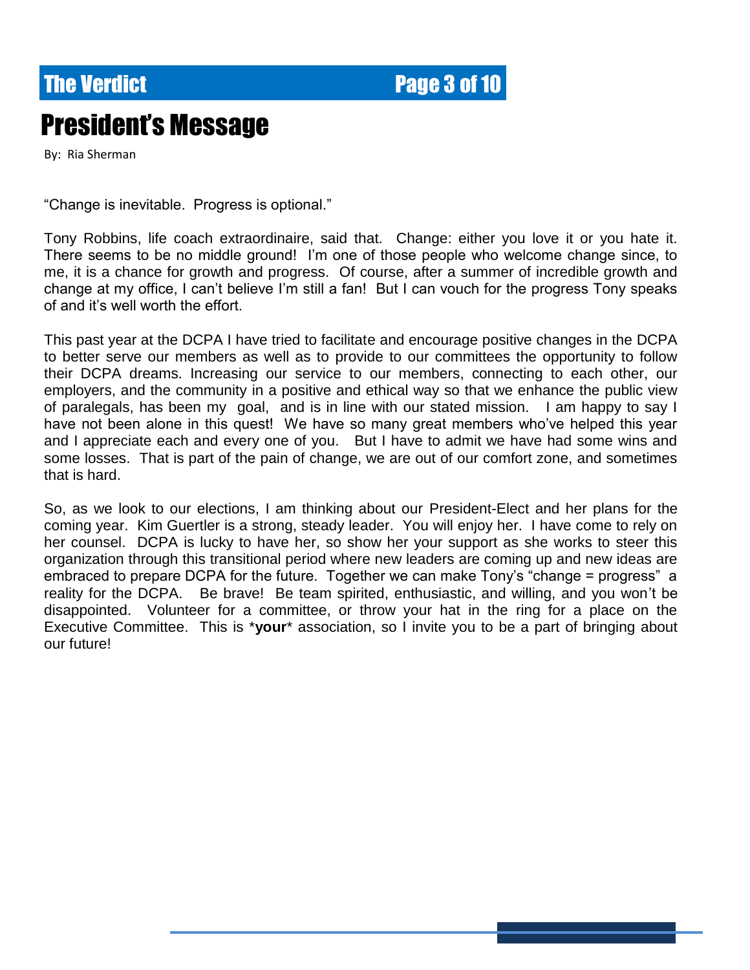**The Verdict Community Community Page 3 of 10** 

# President's Message

By: Ria Sherman

"Change is inevitable. Progress is optional."

Tony Robbins, life coach extraordinaire, said that. Change: either you love it or you hate it. There seems to be no middle ground! I'm one of those people who welcome change since, to me, it is a chance for growth and progress. Of course, after a summer of incredible growth and change at my office, I can't believe I'm still a fan! But I can vouch for the progress Tony speaks of and it's well worth the effort.

This past year at the DCPA I have tried to facilitate and encourage positive changes in the DCPA to better serve our members as well as to provide to our committees the opportunity to follow their DCPA dreams. Increasing our service to our members, connecting to each other, our employers, and the community in a positive and ethical way so that we enhance the public view of paralegals, has been my goal, and is in line with our stated mission. I am happy to say I have not been alone in this quest! We have so many great members who've helped this year and I appreciate each and every one of you. But I have to admit we have had some wins and some losses. That is part of the pain of change, we are out of our comfort zone, and sometimes that is hard.

So, as we look to our elections, I am thinking about our President-Elect and her plans for the coming year. Kim Guertler is a strong, steady leader. You will enjoy her. I have come to rely on her counsel. DCPA is lucky to have her, so show her your support as she works to steer this organization through this transitional period where new leaders are coming up and new ideas are embraced to prepare DCPA for the future. Together we can make Tony's "change = progress" a reality for the DCPA. Be brave! Be team spirited, enthusiastic, and willing, and you won't be disappointed. Volunteer for a committee, or throw your hat in the ring for a place on the Executive Committee. This is \***your**\* association, so I invite you to be a part of bringing about our future!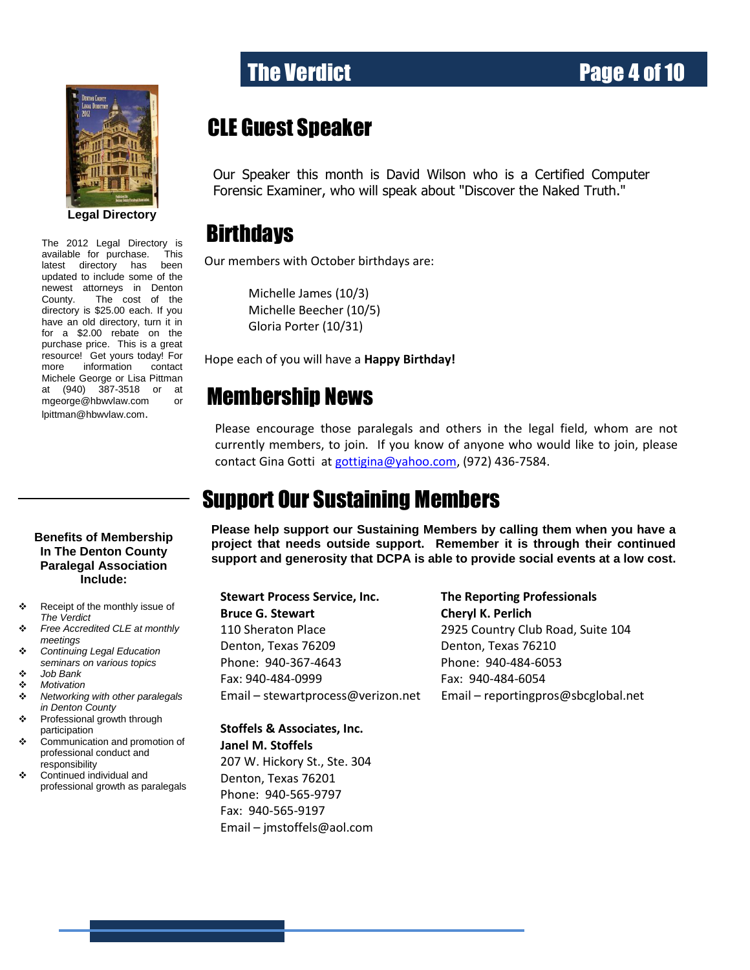

updated to include some of the The 2012 Legal Directory is available for purchase. This latest directory has been newest attorneys in Denton County. The cost of the directory is \$25.00 each. If you have an old directory, turn it in for a \$2.00 rebate on the purchase price. This is a great resource! Get yours today! For more information contact Michele George or Lisa Pittman at (940) 387-3518 or at [mgeorge@hbwvlaw.com](mailto:mgeorge@hbwvlaw.com) or [lpittman@hbwvlaw.com](mailto:lpittman@hbwvlaw.com).

#### **Benefits of Membership In The Denton County Paralegal Association Include:**

- \* Receipt of the monthly issue of *The Verdict*
- *Free Accredited CLE at monthly meetings*
- *Continuing Legal Education seminars on various topics*
- *Job Bank*
- *Motivation*
- *Networking with other paralegals in Denton County*
- Professional growth through participation
- Communication and promotion of professional conduct and responsibility
- Continued individual and professional growth as paralegals

## **CLE Guest Speaker**

Our Speaker this month is David Wilson who is a Certified Computer Forensic Examiner, who will speak about "Discover the Naked Truth."

### **Birthdays**

Our members with October birthdays are:

Michelle James (10/3) Michelle Beecher (10/5) Gloria Porter (10/31)

Hope each of you will have a **Happy Birthday!**

## Membership News

Please encourage those paralegals and others in the legal field, whom are not currently members, to join. If you know of anyone who would like to join, please contact Gina Gotti a[t gottigina@yahoo.com,](mailto:gottigina@yahoo.com) (972) 436-7584.

### Support Our Sustaining Members

**Please help support our Sustaining Members by calling them when you have a project that needs outside support. Remember it is through their continued support and generosity that DCPA is able to provide social events at a low cost.**

**Stewart Process Service, Inc. The Reporting Professionals Bruce G. Stewart Cheryl K. Perlich** 110 Sheraton Place 2925 Country Club Road, Suite 104 Denton, Texas 76209 Denton, Texas 76210 Phone: 940-367-4643 Phone: 940-484-6053 Fax: 940-484-0999 Fax: 940-484-6054

Email – [stewartprocess@verizon.net](mailto:stewartprocess@verizon.net) Email – [reportingpros@sbcglobal.net](mailto:reportingpros@sbcglobal.net)

**Stoffels & Associates, Inc. Janel M. Stoffels** 207 W. Hickory St., Ste. 304 Denton, Texas 76201 Phone: 940-565-9797 Fax: 940-565-9197

Email – jmstoffels@aol.com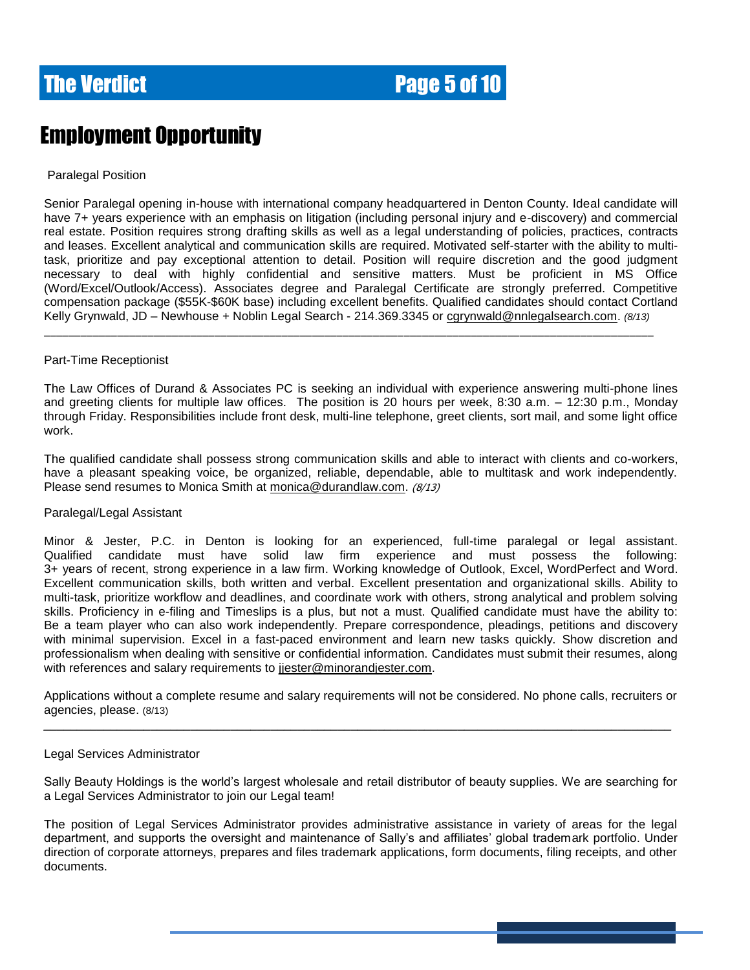

### Employment Opportunity

#### Paralegal Position

Senior Paralegal opening in-house with international company headquartered in Denton County. Ideal candidate will have 7+ years experience with an emphasis on litigation (including personal injury and e-discovery) and commercial real estate. Position requires strong drafting skills as well as a legal understanding of policies, practices, contracts and leases. Excellent analytical and communication skills are required. Motivated self-starter with the ability to multitask, prioritize and pay exceptional attention to detail. Position will require discretion and the good judgment necessary to deal with highly confidential and sensitive matters. Must be proficient in MS Office (Word/Excel/Outlook/Access). Associates degree and Paralegal Certificate are strongly preferred. Competitive compensation package (\$55K-\$60K base) including excellent benefits. Qualified candidates should contact Cortland Kelly Grynwald, JD – Newhouse + Noblin Legal Search - 214.369.3345 or [cgrynwald@nnlegalsearch.com.](mailto:cgrynwald@nnlegalsearch.com) *(8/13)*

\_\_\_\_\_\_\_\_\_\_\_\_\_\_\_\_\_\_\_\_\_\_\_\_\_\_\_\_\_\_\_\_\_\_\_\_\_\_\_\_\_\_\_\_\_\_\_\_\_\_\_\_\_\_\_\_\_\_\_\_\_\_\_\_\_\_\_\_\_\_\_\_\_\_\_\_\_\_\_\_\_\_\_\_\_\_\_\_\_\_\_\_\_\_\_\_\_\_\_\_

#### Part-Time Receptionist

The Law Offices of Durand & Associates PC is seeking an individual with experience answering multi-phone lines and greeting clients for multiple law offices. The position is 20 hours per week, 8:30 a.m. – 12:30 p.m., Monday through Friday. Responsibilities include front desk, multi-line telephone, greet clients, sort mail, and some light office work.

The qualified candidate shall possess strong communication skills and able to interact with clients and co-workers, have a pleasant speaking voice, be organized, reliable, dependable, able to multitask and work independently. Please send resumes to Monica Smith at [monica@durandlaw.com.](mailto:monica@durandlaw.com) (8/13)

#### Paralegal/Legal Assistant

Minor & Jester, P.C. in Denton is looking for an experienced, full-time paralegal or legal assistant. Qualified candidate must have solid law firm experience and must possess the following: 3+ years of recent, strong experience in a law firm. Working knowledge of Outlook, Excel, WordPerfect and Word. Excellent communication skills, both written and verbal. Excellent presentation and organizational skills. Ability to multi-task, prioritize workflow and deadlines, and coordinate work with others, strong analytical and problem solving skills. Proficiency in e-filing and Timeslips is a plus, but not a must. Qualified candidate must have the ability to: Be a team player who can also work independently. Prepare correspondence, pleadings, petitions and discovery with minimal supervision. Excel in a fast-paced environment and learn new tasks quickly. Show discretion and professionalism when dealing with sensitive or confidential information. Candidates must submit their resumes, along with references and salary requirements to [jjester@minorandjester.com.](mailto:jjester@minorandjester.com)

Applications without a complete resume and salary requirements will not be considered. No phone calls, recruiters or agencies, please. (8/13)

#### Legal Services Administrator

Sally Beauty Holdings is the world's largest wholesale and retail distributor of beauty supplies. We are searching for a Legal Services Administrator to join our Legal team!

The position of Legal Services Administrator provides administrative assistance in variety of areas for the legal department, and supports the oversight and maintenance of Sally's and affiliates' global trademark portfolio. Under direction of corporate attorneys, prepares and files trademark applications, form documents, filing receipts, and other documents.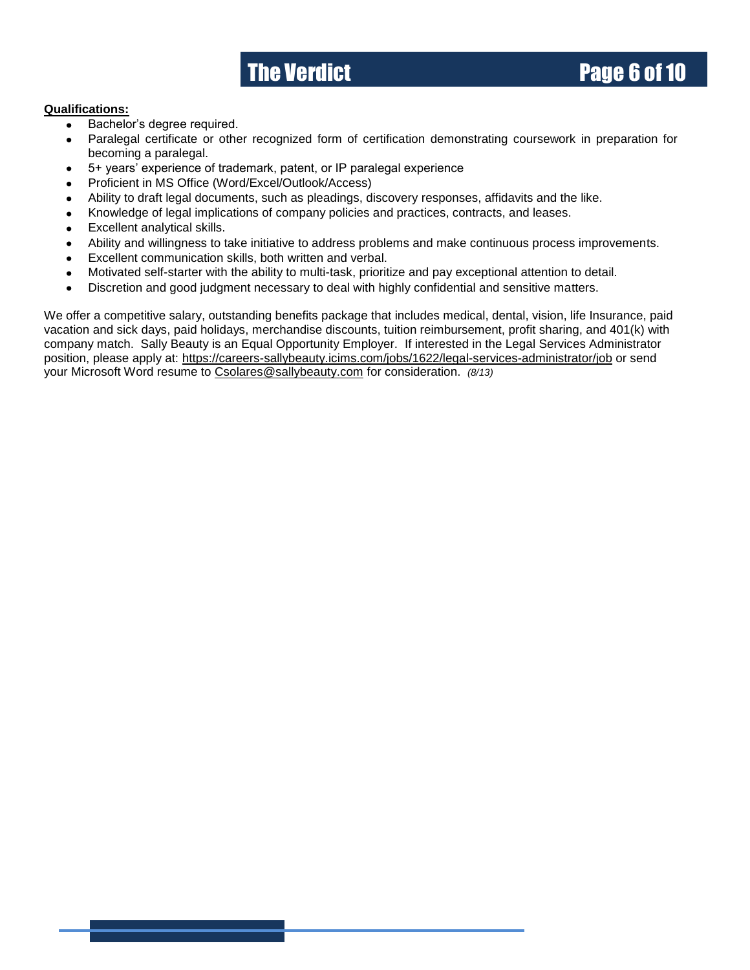### **The Verdict Community Community Page 6 of 10**

#### **Qualifications:**

- Bachelor's degree required.  $\bullet$
- Paralegal certificate or other recognized form of certification demonstrating coursework in preparation for becoming a paralegal.
- 5+ years' experience of trademark, patent, or IP paralegal experience
- Proficient in MS Office (Word/Excel/Outlook/Access)
- Ability to draft legal documents, such as pleadings, discovery responses, affidavits and the like.
- Knowledge of legal implications of company policies and practices, contracts, and leases.
- Excellent analytical skills.
- Ability and willingness to take initiative to address problems and make continuous process improvements.
- Excellent communication skills, both written and verbal.
- Motivated self-starter with the ability to multi-task, prioritize and pay exceptional attention to detail.
- Discretion and good judgment necessary to deal with highly confidential and sensitive matters.

We offer a competitive salary, outstanding benefits package that includes medical, dental, vision, life Insurance, paid vacation and sick days, paid holidays, merchandise discounts, tuition reimbursement, profit sharing, and 401(k) with company match. Sally Beauty is an Equal Opportunity Employer. If interested in the Legal Services Administrator position, please apply at:<https://careers-sallybeauty.icims.com/jobs/1622/legal-services-administrator/job> or send your Microsoft Word resume to [Csolares@sallybeauty.com](mailto:Csolares@sallybeauty.com) for consideration. *(8/13)*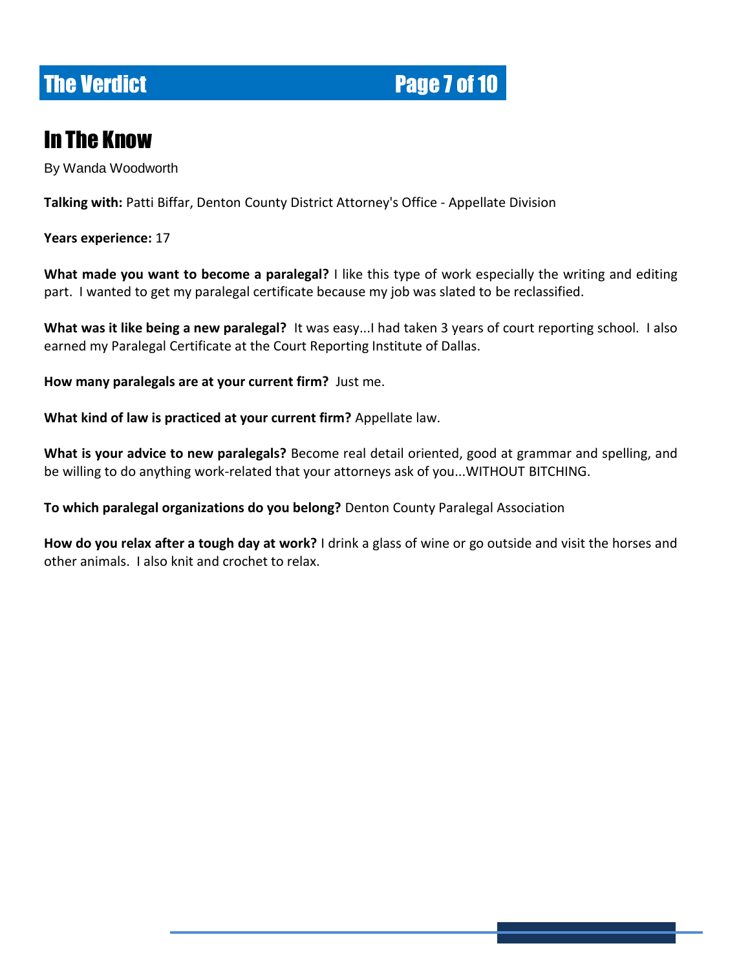## **The Verdict Page 7 of 10**

### In The Know

By Wanda Woodworth

**Talking with:** Patti Biffar, Denton County District Attorney's Office - Appellate Division

**Years experience:** 17

**What made you want to become a paralegal?** I like this type of work especially the writing and editing part. I wanted to get my paralegal certificate because my job was slated to be reclassified.

**What was it like being a new paralegal?** It was easy...I had taken 3 years of court reporting school. I also earned my Paralegal Certificate at the Court Reporting Institute of Dallas.

**How many paralegals are at your current firm?** Just me.

**What kind of law is practiced at your current firm?** Appellate law.

**What is your advice to new paralegals?** Become real detail oriented, good at grammar and spelling, and be willing to do anything work-related that your attorneys ask of you...WITHOUT BITCHING.

**To which paralegal organizations do you belong?** Denton County Paralegal Association

**How do you relax after a tough day at work?** I drink a glass of wine or go outside and visit the horses and other animals. I also knit and crochet to relax.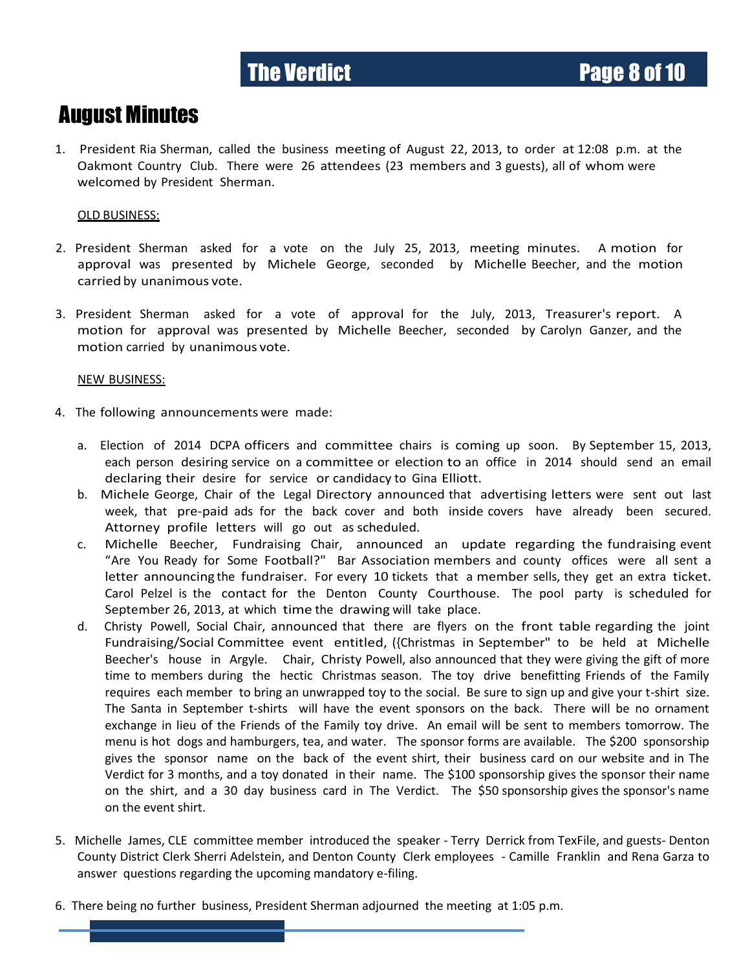### August Minutes

1. President Ria Sherman, called the business meeting of August 22, 2013, to order at 12:08 p.m. at the Oakmont Country Club. There were 26 attendees (23 members and 3 guests), all of whom were welcomed by President Sherman.

### OLD BUSINESS:

- 2. President Sherman asked for a vote on the July 25, 2013, meeting minutes. A motion for approval was presented by Michele George, seconded by Michelle Beecher, and the motion carried by unanimous vote.
- 3. President Sherman asked for a vote of approval for the July, 2013, Treasurer's report. A motion for approval was presented by Michelle Beecher, seconded by Carolyn Ganzer, and the motion carried by unanimous vote.

#### NEW BUSINESS:

- 4. The following announcements were made:
	- a. Election of 2014 DCPA officers and committee chairs is coming up soon. By September 15, 2013, each person desiring service on a committee or election to an office in 2014 should send an email declaring their desire for service or candidacy to Gina Elliott.
	- b. Michele George, Chair of the Legal Directory announced that advertising letters were sent out last week, that pre-paid ads for the back cover and both inside covers have already been secured. Attorney profile letters will go out as scheduled.
	- c. Michelle Beecher, Fundraising Chair, announced an update regarding the fundraising event "Are You Ready for Some Football?" Bar Association members and county offices were all sent a letter announcing the fundraiser. For every 10 tickets that a member sells, they get an extra ticket. Carol Pelzel is the contact for the Denton County Courthouse. The pool party is scheduled for September 26, 2013, at which time the drawing will take place.
	- d. Christy Powell, Social Chair, announced that there are flyers on the front table regarding the joint Fundraising/Social Committee event entitled, ({Christmas in September" to be held at Michelle Beecher's house in Argyle. Chair, Christy Powell, also announced that they were giving the gift of more time to members during the hectic Christmas season. The toy drive benefitting Friends of the Family requires each member to bring an unwrapped toy to the social. Be sure to sign up and give your t-shirt size. The Santa in September t-shirts will have the event sponsors on the back. There will be no ornament exchange in lieu of the Friends of the Family toy drive. An email will be sent to members tomorrow. The menu is hot dogs and hamburgers, tea, and water. The sponsor forms are available. The \$200 sponsorship gives the sponsor name on the back of the event shirt, their business card on our website and in The Verdict for 3 months, and a toy donated in their name. The \$100 sponsorship gives the sponsor their name on the shirt, and a 30 day business card in The Verdict. The \$50 sponsorship gives the sponsor's name on the event shirt.
- 5. Michelle James, CLE committee member introduced the speaker Terry Derrick from TexFile, and guests- Denton County District Clerk Sherri Adelstein, and Denton County Clerk employees - Camille Franklin and Rena Garza to answer questions regarding the upcoming mandatory e-filing.
- 6. There being no further business, President Sherman adjourned the meeting at 1:05 p.m.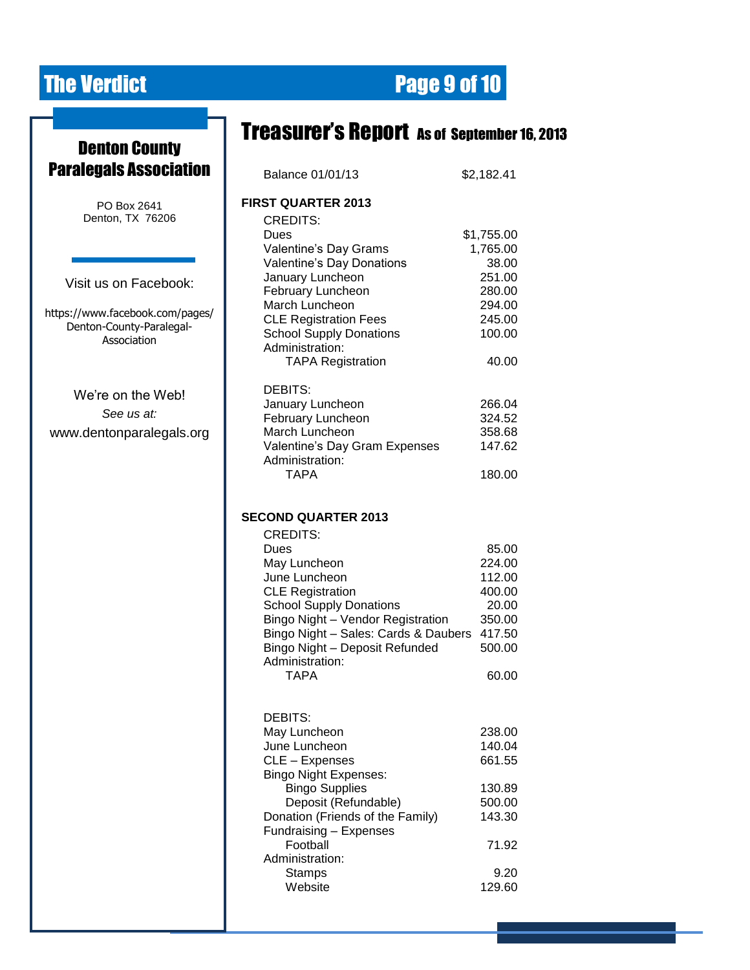Ŧ.

# **The Verdict Community Community Page 9 of 10**

|                                                       | <b>Treasurer's Report</b> as of september 16, 2013                  |                  |
|-------------------------------------------------------|---------------------------------------------------------------------|------------------|
| <b>Denton County</b><br><b>Paralegals Association</b> |                                                                     |                  |
|                                                       | Balance 01/01/13                                                    | \$2,182.41       |
| PO Box 2641                                           | <b>FIRST QUARTER 2013</b>                                           |                  |
| Denton, TX 76206                                      | <b>CREDITS:</b>                                                     |                  |
|                                                       | Dues                                                                | \$1,755.00       |
|                                                       | Valentine's Day Grams                                               | 1,765.00         |
|                                                       | Valentine's Day Donations                                           | 38.00            |
| Visit us on Facebook:                                 | January Luncheon                                                    | 251.00           |
|                                                       | February Luncheon<br>March Luncheon                                 | 280.00<br>294.00 |
| https://www.facebook.com/pages/                       | <b>CLE Registration Fees</b>                                        | 245.00           |
| Denton-County-Paralegal-                              | <b>School Supply Donations</b>                                      | 100.00           |
| Association                                           | Administration:                                                     |                  |
|                                                       | <b>TAPA Registration</b>                                            | 40.00            |
|                                                       | DEBITS:                                                             |                  |
| We're on the Web!                                     | January Luncheon                                                    | 266.04           |
| See us at:                                            | February Luncheon                                                   | 324.52           |
| www.dentonparalegals.org                              | March Luncheon                                                      | 358.68           |
|                                                       | Valentine's Day Gram Expenses                                       | 147.62           |
|                                                       | Administration:                                                     |                  |
|                                                       | <b>TAPA</b>                                                         | 180.00           |
|                                                       |                                                                     |                  |
|                                                       | <b>SECOND QUARTER 2013</b>                                          |                  |
|                                                       | <b>CREDITS:</b>                                                     |                  |
|                                                       | Dues                                                                | 85.00            |
|                                                       | May Luncheon                                                        | 224.00           |
|                                                       | June Luncheon                                                       | 112.00           |
|                                                       | <b>CLE Registration</b>                                             | 400.00           |
|                                                       | <b>School Supply Donations</b><br>Bingo Night - Vendor Registration | 20.00<br>350.00  |
|                                                       | Bingo Night - Sales: Cards & Daubers 417.50                         |                  |
|                                                       | Bingo Night - Deposit Refunded                                      | 500.00           |
|                                                       | Administration:                                                     |                  |
|                                                       | <b>TAPA</b>                                                         | 60.00            |
|                                                       |                                                                     |                  |
|                                                       | DEBITS:                                                             |                  |
|                                                       | May Luncheon                                                        | 238.00           |
|                                                       | June Luncheon                                                       | 140.04           |
|                                                       | CLE - Expenses                                                      | 661.55           |
|                                                       | <b>Bingo Night Expenses:</b><br><b>Bingo Supplies</b>               | 130.89           |
|                                                       | Deposit (Refundable)                                                | 500.00           |
|                                                       | Donation (Friends of the Family)                                    | 143.30           |
|                                                       | Fundraising - Expenses                                              |                  |
|                                                       | Football                                                            | 71.92            |
|                                                       | Administration:                                                     |                  |
|                                                       | <b>Stamps</b>                                                       | 9.20             |
|                                                       | Website                                                             | 129.60           |
|                                                       |                                                                     |                  |
|                                                       |                                                                     |                  |